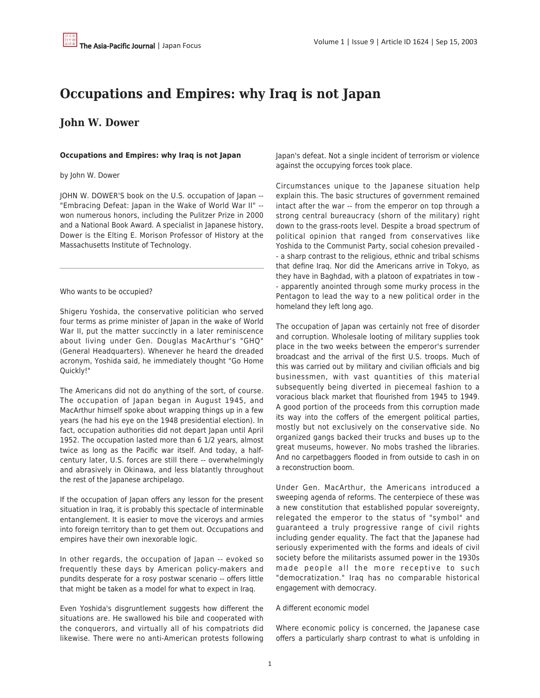# **Occupations and Empires: why Iraq is not Japan**

## **John W. Dower**

#### **Occupations and Empires: why Iraq is not Japan**

#### by John W. Dower

JOHN W. DOWER'S book on the U.S. occupation of Japan -- "Embracing Defeat: Japan in the Wake of World War II" - won numerous honors, including the Pulitzer Prize in 2000 and a National Book Award. A specialist in Japanese history, Dower is the Elting E. Morison Professor of History at the Massachusetts Institute of Technology.

#### Who wants to be occupied?

Shigeru Yoshida, the conservative politician who served four terms as prime minister of Japan in the wake of World War II, put the matter succinctly in a later reminiscence about living under Gen. Douglas MacArthur's "GHQ" (General Headquarters). Whenever he heard the dreaded acronym, Yoshida said, he immediately thought "Go Home Quickly!"

The Americans did not do anything of the sort, of course. The occupation of Japan began in August 1945, and MacArthur himself spoke about wrapping things up in a few years (he had his eye on the 1948 presidential election). In fact, occupation authorities did not depart Japan until April 1952. The occupation lasted more than 6 1/2 years, almost twice as long as the Pacific war itself. And today, a halfcentury later, U.S. forces are still there -- overwhelmingly and abrasively in Okinawa, and less blatantly throughout the rest of the Japanese archipelago.

If the occupation of Japan offers any lesson for the present situation in Iraq, it is probably this spectacle of interminable entanglement. It is easier to move the viceroys and armies into foreign territory than to get them out. Occupations and empires have their own inexorable logic.

In other regards, the occupation of Japan -- evoked so frequently these days by American policy-makers and pundits desperate for a rosy postwar scenario -- offers little that might be taken as a model for what to expect in Iraq.

Even Yoshida's disgruntlement suggests how different the situations are. He swallowed his bile and cooperated with the conquerors, and virtually all of his compatriots did likewise. There were no anti-American protests following Japan's defeat. Not a single incident of terrorism or violence against the occupying forces took place.

Circumstances unique to the Japanese situation help explain this. The basic structures of government remained intact after the war -- from the emperor on top through a strong central bureaucracy (shorn of the military) right down to the grass-roots level. Despite a broad spectrum of political opinion that ranged from conservatives like Yoshida to the Communist Party, social cohesion prevailed - - a sharp contrast to the religious, ethnic and tribal schisms that define Iraq. Nor did the Americans arrive in Tokyo, as they have in Baghdad, with a platoon of expatriates in tow - - apparently anointed through some murky process in the Pentagon to lead the way to a new political order in the homeland they left long ago.

The occupation of Japan was certainly not free of disorder and corruption. Wholesale looting of military supplies took place in the two weeks between the emperor's surrender broadcast and the arrival of the first U.S. troops. Much of this was carried out by military and civilian officials and big businessmen, with vast quantities of this material subsequently being diverted in piecemeal fashion to a voracious black market that flourished from 1945 to 1949. A good portion of the proceeds from this corruption made its way into the coffers of the emergent political parties, mostly but not exclusively on the conservative side. No organized gangs backed their trucks and buses up to the great museums, however. No mobs trashed the libraries. And no carpetbaggers flooded in from outside to cash in on a reconstruction boom.

Under Gen. MacArthur, the Americans introduced a sweeping agenda of reforms. The centerpiece of these was a new constitution that established popular sovereignty, relegated the emperor to the status of "symbol" and guaranteed a truly progressive range of civil rights including gender equality. The fact that the Japanese had seriously experimented with the forms and ideals of civil society before the militarists assumed power in the 1930s made people all the more receptive to such "democratization." Iraq has no comparable historical engagement with democracy.

#### A different economic model

Where economic policy is concerned, the Japanese case offers a particularly sharp contrast to what is unfolding in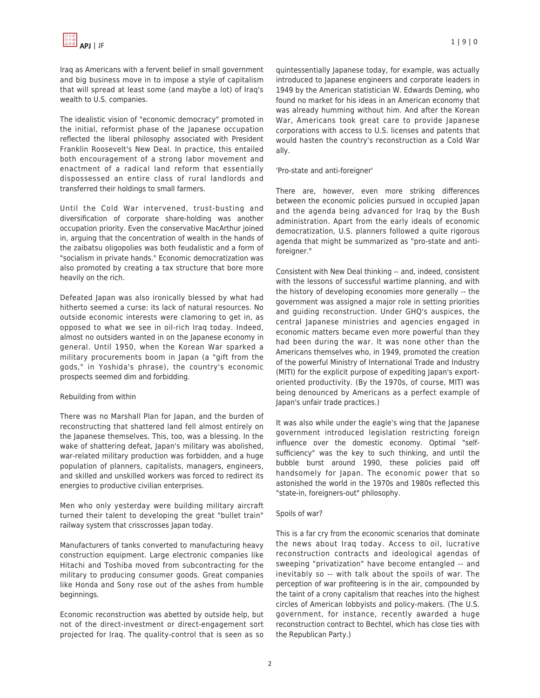Iraq as Americans with a fervent belief in small government and big business move in to impose a style of capitalism that will spread at least some (and maybe a lot) of Iraq's wealth to U.S. companies.

The idealistic vision of "economic democracy" promoted in the initial, reformist phase of the Japanese occupation reflected the liberal philosophy associated with President Franklin Roosevelt's New Deal. In practice, this entailed both encouragement of a strong labor movement and enactment of a radical land reform that essentially dispossessed an entire class of rural landlords and transferred their holdings to small farmers.

Until the Cold War intervened, trust-busting and diversification of corporate share-holding was another occupation priority. Even the conservative MacArthur joined in, arguing that the concentration of wealth in the hands of the zaibatsu oligopolies was both feudalistic and a form of "socialism in private hands." Economic democratization was also promoted by creating a tax structure that bore more heavily on the rich.

Defeated Japan was also ironically blessed by what had hitherto seemed a curse: its lack of natural resources. No outside economic interests were clamoring to get in, as opposed to what we see in oil-rich Iraq today. Indeed, almost no outsiders wanted in on the Japanese economy in general. Until 1950, when the Korean War sparked a military procurements boom in Japan (a "gift from the gods," in Yoshida's phrase), the country's economic prospects seemed dim and forbidding.

#### Rebuilding from within

There was no Marshall Plan for Japan, and the burden of reconstructing that shattered land fell almost entirely on the Japanese themselves. This, too, was a blessing. In the wake of shattering defeat, Japan's military was abolished, war-related military production was forbidden, and a huge population of planners, capitalists, managers, engineers, and skilled and unskilled workers was forced to redirect its energies to productive civilian enterprises.

Men who only yesterday were building military aircraft turned their talent to developing the great "bullet train" railway system that crisscrosses Japan today.

Manufacturers of tanks converted to manufacturing heavy construction equipment. Large electronic companies like Hitachi and Toshiba moved from subcontracting for the military to producing consumer goods. Great companies like Honda and Sony rose out of the ashes from humble beginnings.

Economic reconstruction was abetted by outside help, but not of the direct-investment or direct-engagement sort projected for Iraq. The quality-control that is seen as so quintessentially Japanese today, for example, was actually introduced to Japanese engineers and corporate leaders in 1949 by the American statistician W. Edwards Deming, who found no market for his ideas in an American economy that was already humming without him. And after the Korean War, Americans took great care to provide Japanese corporations with access to U.S. licenses and patents that would hasten the country's reconstruction as a Cold War ally.

'Pro-state and anti-foreigner'

There are, however, even more striking differences between the economic policies pursued in occupied Japan and the agenda being advanced for Iraq by the Bush administration. Apart from the early ideals of economic democratization, U.S. planners followed a quite rigorous agenda that might be summarized as "pro-state and antiforeigner."

Consistent with New Deal thinking -- and, indeed, consistent with the lessons of successful wartime planning, and with the history of developing economies more generally -- the government was assigned a major role in setting priorities and guiding reconstruction. Under GHQ's auspices, the central Japanese ministries and agencies engaged in economic matters became even more powerful than they had been during the war. It was none other than the Americans themselves who, in 1949, promoted the creation of the powerful Ministry of International Trade and Industry (MITI) for the explicit purpose of expediting Japan's exportoriented productivity. (By the 1970s, of course, MITI was being denounced by Americans as a perfect example of Japan's unfair trade practices.)

It was also while under the eagle's wing that the Japanese government introduced legislation restricting foreign influence over the domestic economy. Optimal "selfsufficiency" was the key to such thinking, and until the bubble burst around 1990, these policies paid off handsomely for Japan. The economic power that so astonished the world in the 1970s and 1980s reflected this "state-in, foreigners-out" philosophy.

### Spoils of war?

This is a far cry from the economic scenarios that dominate the news about Iraq today. Access to oil, lucrative reconstruction contracts and ideological agendas of sweeping "privatization" have become entangled -- and inevitably so -- with talk about the spoils of war. The perception of war profiteering is in the air, compounded by the taint of a crony capitalism that reaches into the highest circles of American lobbyists and policy-makers. (The U.S. government, for instance, recently awarded a huge reconstruction contract to Bechtel, which has close ties with the Republican Party.)